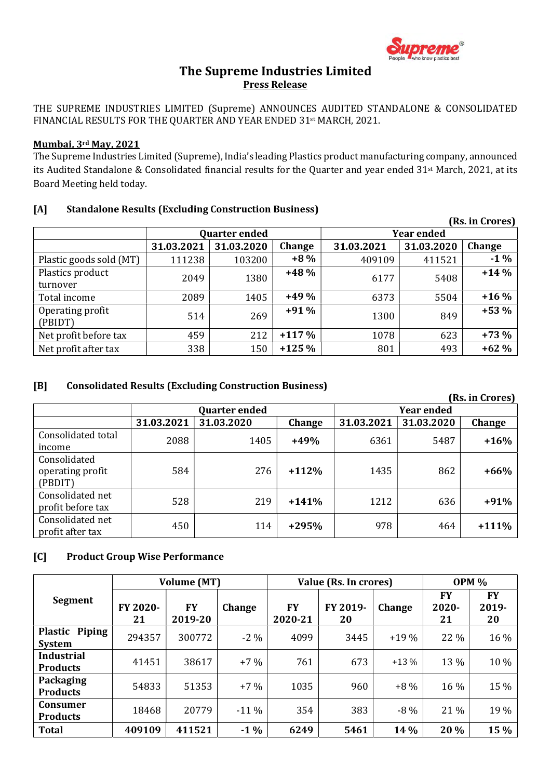

# The Supreme Industries Limited Press Release

THE SUPREME INDUSTRIES LIMITED (Supreme) ANNOUNCES AUDITED STANDALONE & CONSOLIDATED FINANCIAL RESULTS FOR THE QUARTER AND YEAR ENDED 31st MARCH, 2021.

#### Mumbai, 3rd May, 2021

The Supreme Industries Limited (Supreme), India's leading Plastics product manufacturing company, announced its Audited Standalone & Consolidated financial results for the Quarter and year ended 31st March, 2021, at its Board Meeting held today.

#### [A] Standalone Results (Excluding Construction Business)

|                              |                      |            |         |                   |            | (Rs. in Crores) |
|------------------------------|----------------------|------------|---------|-------------------|------------|-----------------|
|                              | <b>Quarter ended</b> |            |         | <b>Year ended</b> |            |                 |
|                              | 31.03.2021           | 31.03.2020 | Change  | 31.03.2021        | 31.03.2020 | Change          |
| Plastic goods sold (MT)      | 111238               | 103200     | $+8%$   | 409109            | 411521     | $-1\%$          |
| Plastics product<br>turnover | 2049                 | 1380       | $+48%$  | 6177              | 5408       | $+14%$          |
| Total income                 | 2089                 | 1405       | $+49%$  | 6373              | 5504       | $+16%$          |
| Operating profit<br>(PBIDT)  | 514                  | 269        | $+91%$  | 1300              | 849        | $+53%$          |
| Net profit before tax        | 459                  | 212        | $+117%$ | 1078              | 623        | $+73%$          |
| Net profit after tax         | 338                  | 150        | $+125%$ | 801               | 493        | $+62%$          |

### [B] Consolidated Results (Excluding Construction Business)

|                                             |            |                      |                   |            |            | (Rs. in Crores) |
|---------------------------------------------|------------|----------------------|-------------------|------------|------------|-----------------|
|                                             |            | <b>Quarter ended</b> | <b>Year ended</b> |            |            |                 |
|                                             | 31.03.2021 | 31.03.2020           | <b>Change</b>     | 31.03.2021 | 31.03.2020 | Change          |
| Consolidated total<br>income                | 2088       | 1405                 | $+49%$            | 6361       | 5487       | $+16%$          |
| Consolidated<br>operating profit<br>(PBDIT) | 584        | 276                  | $+112%$           | 1435       | 862        | $+66%$          |
| Consolidated net<br>profit before tax       | 528        | 219                  | $+141%$           | 1212       | 636        | $+91%$          |
| Consolidated net<br>profit after tax        | 450        | 114                  | $+295%$           | 978        | 464        | $+111\%$        |

#### [C] Product Group Wise Performance

| <b>Volume (MT)</b>                   |                |                      | Value (Rs. In crores) |                      |                | <b>OPM %</b> |                   |                          |
|--------------------------------------|----------------|----------------------|-----------------------|----------------------|----------------|--------------|-------------------|--------------------------|
| Segment                              | FY 2020-<br>21 | <b>FY</b><br>2019-20 | Change                | <b>FY</b><br>2020-21 | FY 2019-<br>20 | Change       | FY<br>2020-<br>21 | <b>FY</b><br>2019-<br>20 |
| Plastic Piping<br><b>System</b>      | 294357         | 300772               | $-2\%$                | 4099                 | 3445           | $+19%$       | 22 %              | 16 %                     |
| <b>Industrial</b><br><b>Products</b> | 41451          | 38617                | $+7%$                 | 761                  | 673            | $+13\%$      | 13 %              | 10 %                     |
| Packaging<br><b>Products</b>         | 54833          | 51353                | $+7%$                 | 1035                 | 960            | $+8\%$       | 16 %              | 15 %                     |
| <b>Consumer</b><br><b>Products</b>   | 18468          | 20779                | $-11\%$               | 354                  | 383            | $-8\%$       | 21 %              | 19 %                     |
| <b>Total</b>                         | 409109         | 411521               | $-1\%$                | 6249                 | 5461           | 14 %         | 20%               | 15 %                     |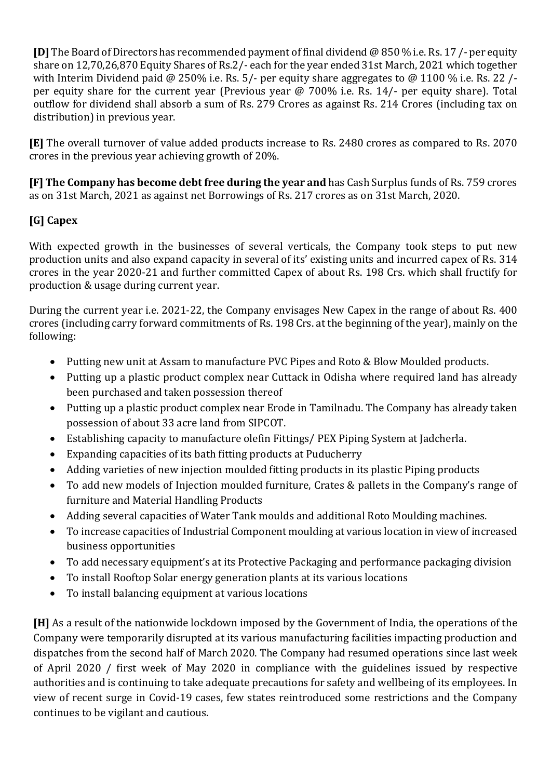[D] The Board of Directors has recommended payment of final dividend @ 850 % i.e. Rs. 17 /- per equity share on 12,70,26,870 Equity Shares of Rs.2/- each for the year ended 31st March, 2021 which together with Interim Dividend paid @ 250% i.e. Rs. 5/- per equity share aggregates to @ 1100 % i.e. Rs. 22 /per equity share for the current year (Previous year @ 700% i.e. Rs. 14/- per equity share). Total outflow for dividend shall absorb a sum of Rs. 279 Crores as against Rs. 214 Crores (including tax on distribution) in previous year.

[E] The overall turnover of value added products increase to Rs. 2480 crores as compared to Rs. 2070 crores in the previous year achieving growth of 20%.

[F] The Company has become debt free during the year and has Cash Surplus funds of Rs. 759 crores as on 31st March, 2021 as against net Borrowings of Rs. 217 crores as on 31st March, 2020.

# [G] Capex

With expected growth in the businesses of several verticals, the Company took steps to put new production units and also expand capacity in several of its' existing units and incurred capex of Rs. 314 crores in the year 2020-21 and further committed Capex of about Rs. 198 Crs. which shall fructify for production & usage during current year.

During the current year i.e. 2021-22, the Company envisages New Capex in the range of about Rs. 400 crores (including carry forward commitments of Rs. 198 Crs. at the beginning of the year), mainly on the following:

- Putting new unit at Assam to manufacture PVC Pipes and Roto & Blow Moulded products.
- Putting up a plastic product complex near Cuttack in Odisha where required land has already been purchased and taken possession thereof
- Putting up a plastic product complex near Erode in Tamilnadu. The Company has already taken possession of about 33 acre land from SIPCOT.
- Establishing capacity to manufacture olefin Fittings/ PEX Piping System at Jadcherla.
- Expanding capacities of its bath fitting products at Puducherry
- Adding varieties of new injection moulded fitting products in its plastic Piping products
- To add new models of Injection moulded furniture, Crates & pallets in the Company's range of furniture and Material Handling Products
- Adding several capacities of Water Tank moulds and additional Roto Moulding machines.
- To increase capacities of Industrial Component moulding at various location in view of increased business opportunities
- To add necessary equipment's at its Protective Packaging and performance packaging division
- To install Rooftop Solar energy generation plants at its various locations
- To install balancing equipment at various locations

[H] As a result of the nationwide lockdown imposed by the Government of India, the operations of the Company were temporarily disrupted at its various manufacturing facilities impacting production and dispatches from the second half of March 2020. The Company had resumed operations since last week of April 2020 / first week of May 2020 in compliance with the guidelines issued by respective authorities and is continuing to take adequate precautions for safety and wellbeing of its employees. In view of recent surge in Covid-19 cases, few states reintroduced some restrictions and the Company continues to be vigilant and cautious.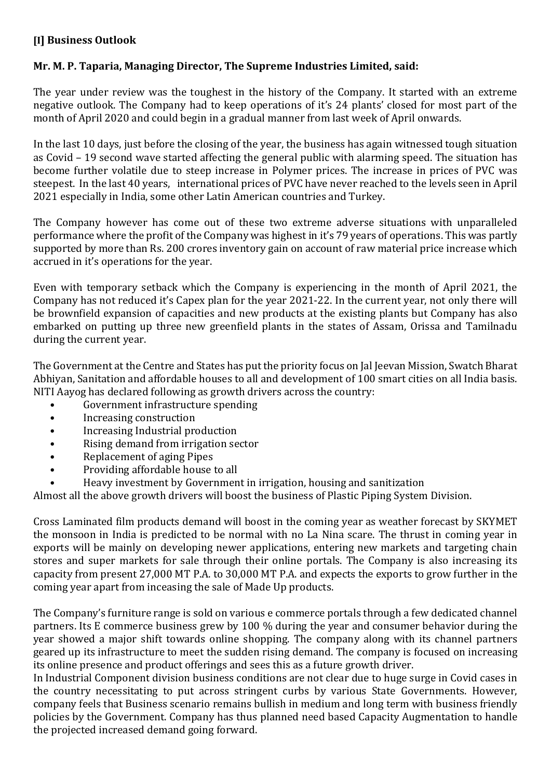# [I] Business Outlook

# Mr. M. P. Taparia, Managing Director, The Supreme Industries Limited, said:

The year under review was the toughest in the history of the Company. It started with an extreme negative outlook. The Company had to keep operations of it's 24 plants' closed for most part of the month of April 2020 and could begin in a gradual manner from last week of April onwards.

In the last 10 days, just before the closing of the year, the business has again witnessed tough situation as Covid – 19 second wave started affecting the general public with alarming speed. The situation has become further volatile due to steep increase in Polymer prices. The increase in prices of PVC was steepest. In the last 40 years, international prices of PVC have never reached to the levels seen in April 2021 especially in India, some other Latin American countries and Turkey.

The Company however has come out of these two extreme adverse situations with unparalleled performance where the profit of the Company was highest in it's 79 years of operations. This was partly supported by more than Rs. 200 crores inventory gain on account of raw material price increase which accrued in it's operations for the year.

Even with temporary setback which the Company is experiencing in the month of April 2021, the Company has not reduced it's Capex plan for the year 2021-22. In the current year, not only there will be brownfield expansion of capacities and new products at the existing plants but Company has also embarked on putting up three new greenfield plants in the states of Assam, Orissa and Tamilnadu during the current year.

The Government at the Centre and States has put the priority focus on Jal Jeevan Mission, Swatch Bharat Abhiyan, Sanitation and affordable houses to all and development of 100 smart cities on all India basis. NITI Aayog has declared following as growth drivers across the country:

- Government infrastructure spending
- Increasing construction
- Increasing Industrial production
- Rising demand from irrigation sector
- Replacement of aging Pipes
- Providing affordable house to all
- Heavy investment by Government in irrigation, housing and sanitization

Almost all the above growth drivers will boost the business of Plastic Piping System Division.

Cross Laminated film products demand will boost in the coming year as weather forecast by SKYMET the monsoon in India is predicted to be normal with no La Nina scare. The thrust in coming year in exports will be mainly on developing newer applications, entering new markets and targeting chain stores and super markets for sale through their online portals. The Company is also increasing its capacity from present 27,000 MT P.A. to 30,000 MT P.A. and expects the exports to grow further in the coming year apart from inceasing the sale of Made Up products.

The Company's furniture range is sold on various e commerce portals through a few dedicated channel partners. Its E commerce business grew by 100 % during the year and consumer behavior during the year showed a major shift towards online shopping. The company along with its channel partners geared up its infrastructure to meet the sudden rising demand. The company is focused on increasing its online presence and product offerings and sees this as a future growth driver.

In Industrial Component division business conditions are not clear due to huge surge in Covid cases in the country necessitating to put across stringent curbs by various State Governments. However, company feels that Business scenario remains bullish in medium and long term with business friendly policies by the Government. Company has thus planned need based Capacity Augmentation to handle the projected increased demand going forward.